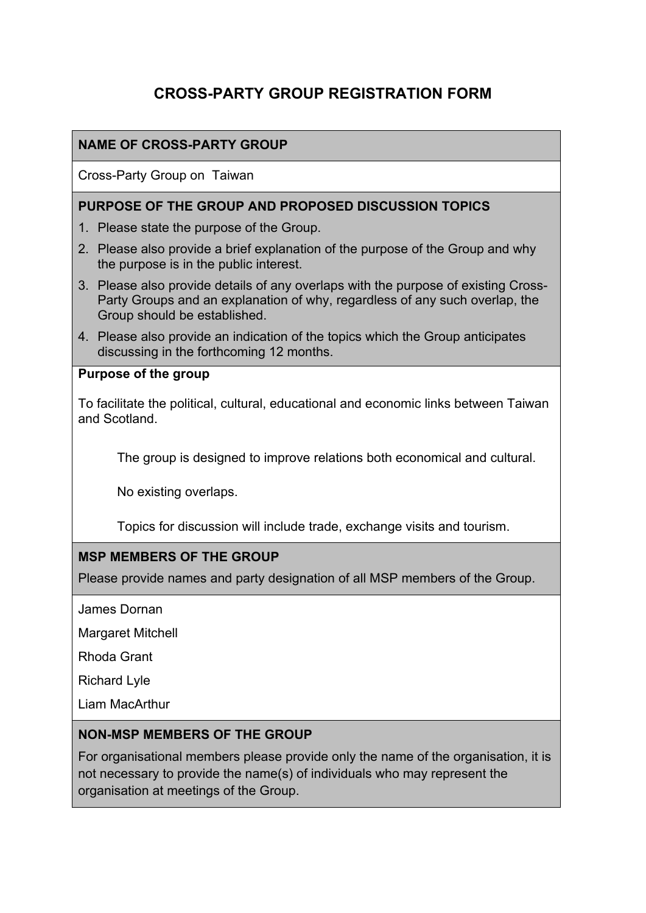# **CROSS-PARTY GROUP REGISTRATION FORM**

## **NAME OF CROSS-PARTY GROUP**

Cross-Party Group on Taiwan

#### **PURPOSE OF THE GROUP AND PROPOSED DISCUSSION TOPICS**

- 1. Please state the purpose of the Group.
- 2. Please also provide a brief explanation of the purpose of the Group and why the purpose is in the public interest.
- 3. Please also provide details of any overlaps with the purpose of existing Cross-Party Groups and an explanation of why, regardless of any such overlap, the Group should be established.
- 4. Please also provide an indication of the topics which the Group anticipates discussing in the forthcoming 12 months.

### **Purpose of the group**

To facilitate the political, cultural, educational and economic links between Taiwan and Scotland.

The group is designed to improve relations both economical and cultural.

No existing overlaps.

Topics for discussion will include trade, exchange visits and tourism.

### **MSP MEMBERS OF THE GROUP**

Please provide names and party designation of all MSP members of the Group.

James Dornan

Margaret Mitchell

Rhoda Grant

Richard Lyle

Liam MacArthur

### **NON-MSP MEMBERS OF THE GROUP**

For organisational members please provide only the name of the organisation, it is not necessary to provide the name(s) of individuals who may represent the organisation at meetings of the Group.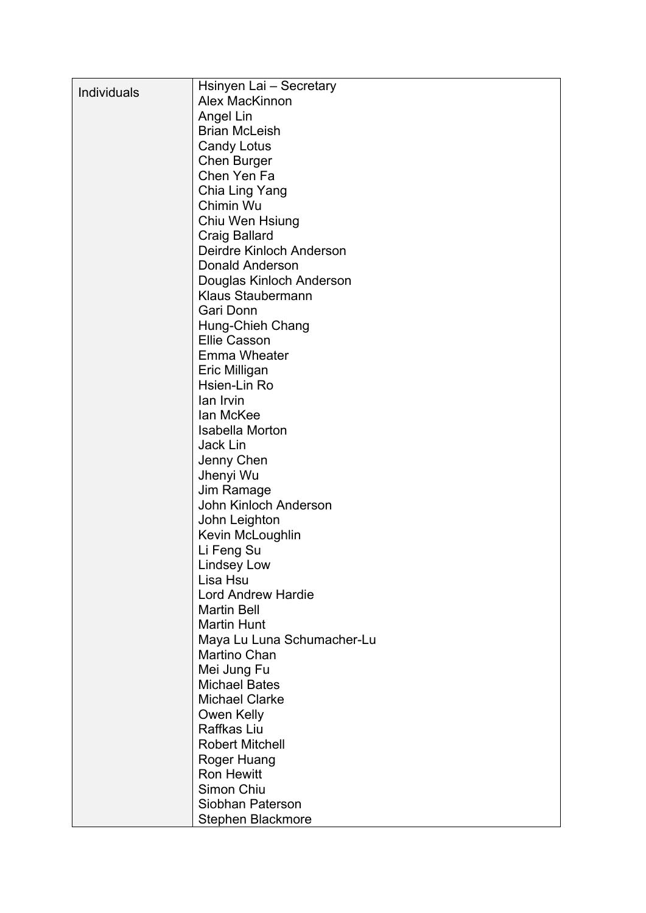|                    | Hsinyen Lai - Secretary    |
|--------------------|----------------------------|
| <b>Individuals</b> | <b>Alex MacKinnon</b>      |
|                    | Angel Lin                  |
|                    | <b>Brian McLeish</b>       |
|                    | <b>Candy Lotus</b>         |
|                    | <b>Chen Burger</b>         |
|                    | Chen Yen Fa                |
|                    | Chia Ling Yang             |
|                    | Chimin Wu                  |
|                    | Chiu Wen Hsiung            |
|                    | <b>Craig Ballard</b>       |
|                    | Deirdre Kinloch Anderson   |
|                    | <b>Donald Anderson</b>     |
|                    | Douglas Kinloch Anderson   |
|                    | <b>Klaus Staubermann</b>   |
|                    | Gari Donn                  |
|                    | Hung-Chieh Chang           |
|                    | <b>Ellie Casson</b>        |
|                    | <b>Emma Wheater</b>        |
|                    | Eric Milligan              |
|                    | Hsien-Lin Ro               |
|                    | lan Irvin                  |
|                    | lan McKee                  |
|                    | <b>Isabella Morton</b>     |
|                    | Jack Lin                   |
|                    | Jenny Chen                 |
|                    | Jhenyi Wu                  |
|                    | Jim Ramage                 |
|                    | John Kinloch Anderson      |
|                    | John Leighton              |
|                    | Kevin McLoughlin           |
|                    | Li Feng Su                 |
|                    | <b>Lindsey Low</b>         |
|                    | Lisa Hsu                   |
|                    | <b>Lord Andrew Hardie</b>  |
|                    | <b>Martin Bell</b>         |
|                    | <b>Martin Hunt</b>         |
|                    | Maya Lu Luna Schumacher-Lu |
|                    | <b>Martino Chan</b>        |
|                    | Mei Jung Fu                |
|                    | <b>Michael Bates</b>       |
|                    | <b>Michael Clarke</b>      |
|                    | Owen Kelly                 |
|                    | Raffkas Liu                |
|                    | <b>Robert Mitchell</b>     |
|                    | <b>Roger Huang</b>         |
|                    | <b>Ron Hewitt</b>          |
|                    | Simon Chiu                 |
|                    | Siobhan Paterson           |
|                    | Stephen Blackmore          |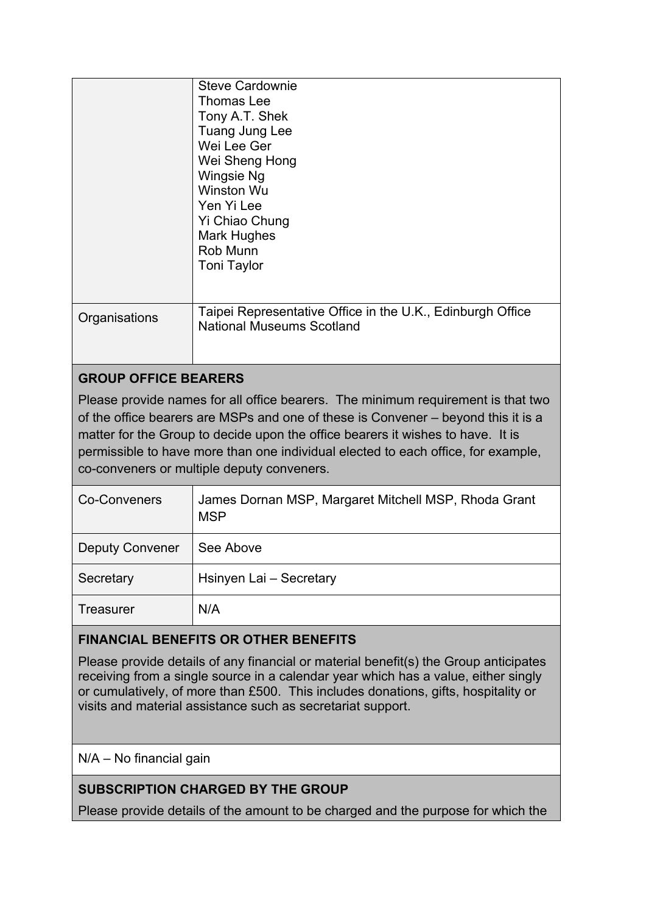|               | <b>Steve Cardownie</b><br>Thomas Lee<br>Tony A.T. Shek<br>Tuang Jung Lee<br>Wei Lee Ger<br>Wei Sheng Hong<br><b>Wingsie Ng</b><br>Winston Wu<br>Yen Yi Lee<br>Yi Chiao Chung<br><b>Mark Hughes</b><br>Rob Munn<br><b>Toni Taylor</b> |
|---------------|--------------------------------------------------------------------------------------------------------------------------------------------------------------------------------------------------------------------------------------|
| Organisations | Taipei Representative Office in the U.K., Edinburgh Office<br><b>National Museums Scotland</b>                                                                                                                                       |

## **GROUP OFFICE BEARERS**

Please provide names for all office bearers. The minimum requirement is that two of the office bearers are MSPs and one of these is Convener – beyond this it is a matter for the Group to decide upon the office bearers it wishes to have. It is permissible to have more than one individual elected to each office, for example, co-conveners or multiple deputy conveners.

| <b>Co-Conveners</b>    | James Dornan MSP, Margaret Mitchell MSP, Rhoda Grant<br><b>MSP</b> |
|------------------------|--------------------------------------------------------------------|
| <b>Deputy Convener</b> | See Above                                                          |
| Secretary              | Hsinyen Lai - Secretary                                            |
| <b>Treasurer</b>       | N/A                                                                |

## **FINANCIAL BENEFITS OR OTHER BENEFITS**

Please provide details of any financial or material benefit(s) the Group anticipates receiving from a single source in a calendar year which has a value, either singly or cumulatively, of more than £500. This includes donations, gifts, hospitality or visits and material assistance such as secretariat support.

### N/A – No financial gain

## **SUBSCRIPTION CHARGED BY THE GROUP**

Please provide details of the amount to be charged and the purpose for which the